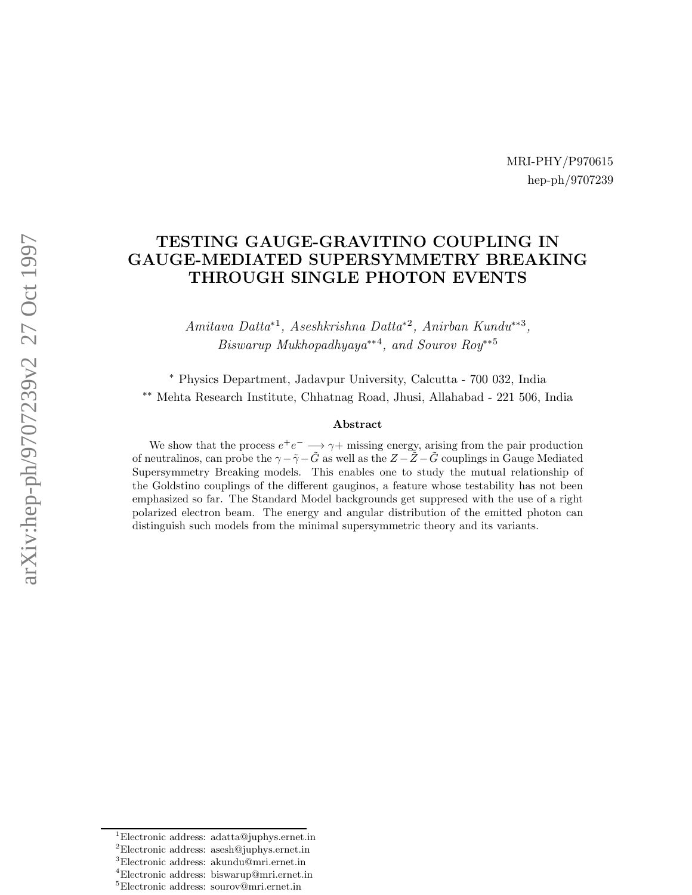MRI-PHY/P970615 hep-ph/9707239

# TESTING GAUGE-GRAVITINO COUPLING IN GAUGE-MEDIATED SUPERSYMMETRY BREAKING THROUGH SINGLE PHOTON EVENTS

Amitava Datta<sup>\*1</sup>, Aseshkrishna Datta<sup>\*2</sup>, Anirban Kundu<sup>\*\*3</sup>, Biswarup Mukhopadhyaya<sup>∗∗4</sup>, and Sourov Roy<sup>∗∗5</sup>

<sup>∗</sup> Physics Department, Jadavpur University, Calcutta - 700 032, India ∗∗ Mehta Research Institute, Chhatnag Road, Jhusi, Allahabad - 221 506, India

#### Abstract

We show that the process  $e^+e^- \longrightarrow \gamma + \text{missing energy}$ , arising from the pair production of neutralinos, can probe the  $\gamma - \tilde{\gamma} - \tilde{G}$  as well as the  $Z - \tilde{Z} - \tilde{G}$  couplings in Gauge Mediated Supersymmetry Breaking models. This enables one to study the mutual relationship of the Goldstino couplings of the different gauginos, a feature whose testability has not been emphasized so far. The Standard Model backgrounds get suppresed with the use of a right polarized electron beam. The energy and angular distribution of the emitted photon can distinguish such models from the minimal supersymmetric theory and its variants.

 $\begin{array}{l} \mbox{'}{\rm Electronic\,\,address: \,\, adatta@juphys.ernet.in}\\ \mbox{'}{\rm Electronic\,\,address: \,\, assemblys.ernet.in}\\ \mbox{'}{\rm Electronic\,\,address: \,\,iswarup@mir.ernet.in}\\ \mbox{'}{\rm Electronic\,\,address: \,\,sourov@mir.ernet.in}\\ \end{array}$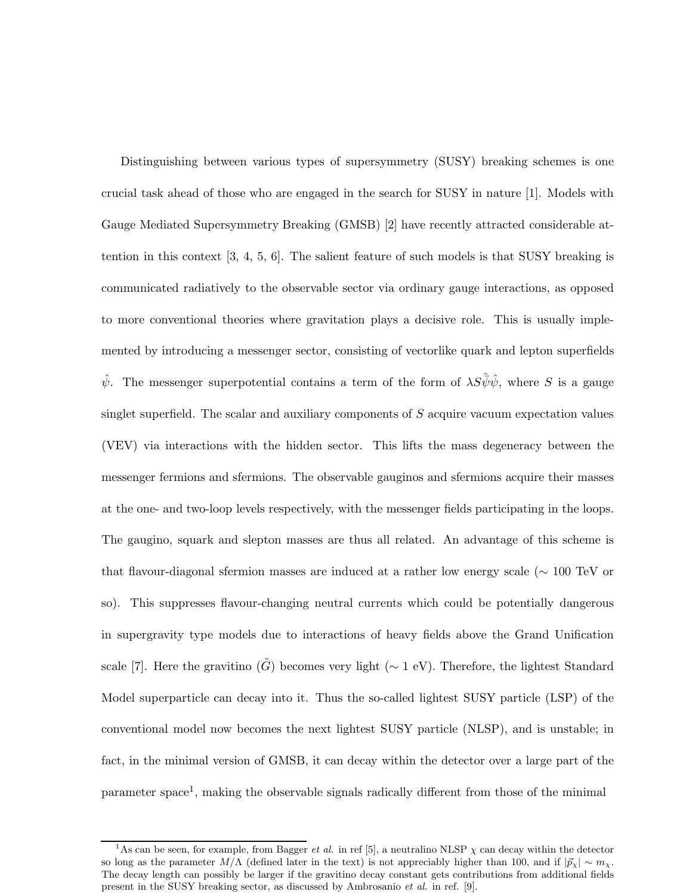Distinguishing between various types of supersymmetry (SUSY) breaking schemes is one crucial task ahead of those who are engaged in the search for SUSY in nature [1]. Models with Gauge Mediated Supersymmetry Breaking (GMSB) [2] have recently attracted considerable attention in this context [3, 4, 5, 6]. The salient feature of such models is that SUSY breaking is communicated radiatively to the observable sector via ordinary gauge interactions, as opposed to more conventional theories where gravitation plays a decisive role. This is usually implemented by introducing a messenger sector, consisting of vectorlike quark and lepton superfields  $\hat{\psi}$ . The messenger superpotential contains a term of the form of  $\lambda S\hat{\psi}\hat{\psi}$ , where S is a gauge singlet superfield. The scalar and auxiliary components of  $S$  acquire vacuum expectation values (VEV) via interactions with the hidden sector. This lifts the mass degeneracy between the messenger fermions and sfermions. The observable gauginos and sfermions acquire their masses at the one- and two-loop levels respectively, with the messenger fields participating in the loops. The gaugino, squark and slepton masses are thus all related. An advantage of this scheme is that flavour-diagonal sfermion masses are induced at a rather low energy scale (∼ 100 TeV or so). This suppresses flavour-changing neutral currents which could be potentially dangerous in supergravity type models due to interactions of heavy fields above the Grand Unification scale [7]. Here the gravitino  $(\tilde{G})$  becomes very light ( $\sim 1$  eV). Therefore, the lightest Standard Model superparticle can decay into it. Thus the so-called lightest SUSY particle (LSP) of the conventional model now becomes the next lightest SUSY particle (NLSP), and is unstable; in fact, in the minimal version of GMSB, it can decay within the detector over a large part of the parameter space<sup>1</sup>, making the observable signals radically different from those of the minimal

<sup>&</sup>lt;sup>1</sup>As can be seen, for example, from Bagger *et al.* in ref [5], a neutralino NLSP  $\chi$  can decay within the detector so long as the parameter M/ $\Lambda$  (defined later in the text) is not appreciably higher than 100, and if  $|\vec{p}_y| \sim m_y$ . The decay length can possibly be larger if the gravitino decay constant gets contributions from additional fields present in the SUSY breaking sector, as discussed by Ambrosanio et al. in ref. [9].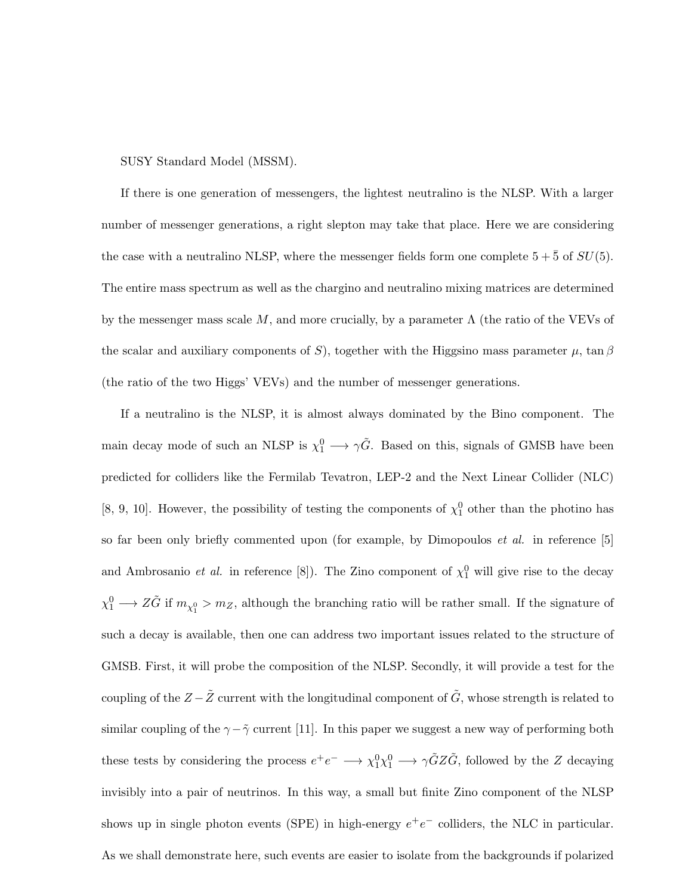#### SUSY Standard Model (MSSM).

If there is one generation of messengers, the lightest neutralino is the NLSP. With a larger number of messenger generations, a right slepton may take that place. Here we are considering the case with a neutralino NLSP, where the messenger fields form one complete  $5 + \overline{5}$  of  $SU(5)$ . The entire mass spectrum as well as the chargino and neutralino mixing matrices are determined by the messenger mass scale M, and more crucially, by a parameter  $\Lambda$  (the ratio of the VEVs of the scalar and auxiliary components of S), together with the Higgsino mass parameter  $\mu$ , tan  $\beta$ (the ratio of the two Higgs' VEVs) and the number of messenger generations.

If a neutralino is the NLSP, it is almost always dominated by the Bino component. The main decay mode of such an NLSP is  $\chi_1^0 \longrightarrow \gamma \tilde{G}$ . Based on this, signals of GMSB have been predicted for colliders like the Fermilab Tevatron, LEP-2 and the Next Linear Collider (NLC) [8, 9, 10]. However, the possibility of testing the components of  $\chi_1^0$  other than the photino has so far been only briefly commented upon (for example, by Dimopoulos *et al.* in reference [5] and Ambrosanio *et al.* in reference [8]). The Zino component of  $\chi_1^0$  will give rise to the decay  $\chi_1^0 \longrightarrow Z\tilde{G}$  if  $m_{\chi_1^0} > m_Z$ , although the branching ratio will be rather small. If the signature of such a decay is available, then one can address two important issues related to the structure of GMSB. First, it will probe the composition of the NLSP. Secondly, it will provide a test for the coupling of the  $Z - \tilde{Z}$  current with the longitudinal component of  $\tilde{G}$ , whose strength is related to similar coupling of the  $\gamma$ − $\tilde{\gamma}$  current [11]. In this paper we suggest a new way of performing both these tests by considering the process  $e^+e^- \longrightarrow \chi_1^0 \chi_1^0 \longrightarrow \gamma \tilde{G} Z \tilde{G}$ , followed by the Z decaying invisibly into a pair of neutrinos. In this way, a small but finite Zino component of the NLSP shows up in single photon events (SPE) in high-energy  $e^+e^-$  colliders, the NLC in particular. As we shall demonstrate here, such events are easier to isolate from the backgrounds if polarized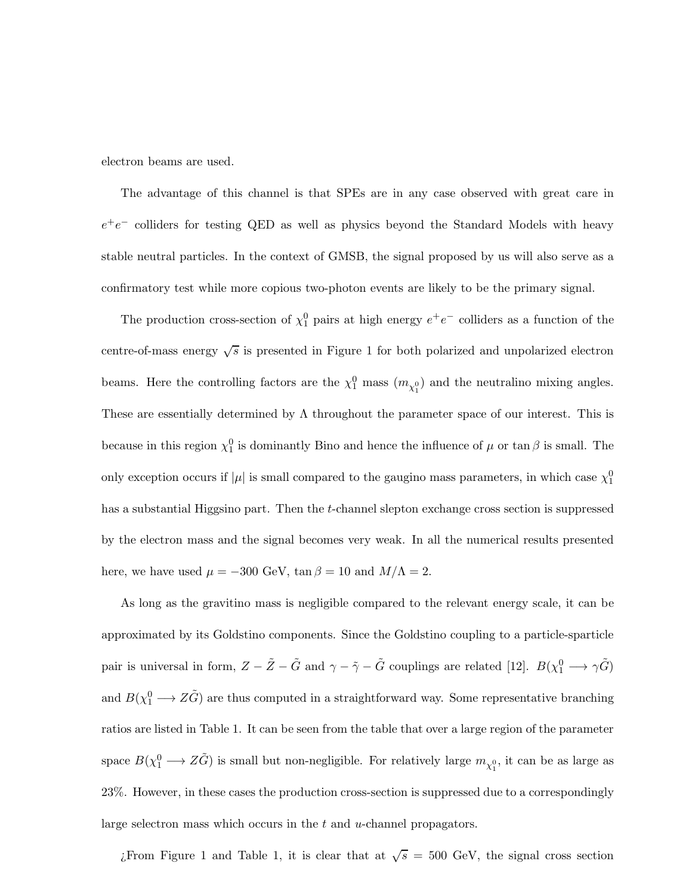electron beams are used.

The advantage of this channel is that SPEs are in any case observed with great care in  $e^+e^-$  colliders for testing QED as well as physics beyond the Standard Models with heavy stable neutral particles. In the context of GMSB, the signal proposed by us will also serve as a confirmatory test while more copious two-photon events are likely to be the primary signal.

The production cross-section of  $\chi_1^0$  pairs at high energy  $e^+e^-$  colliders as a function of the centre-of-mass energy  $\sqrt{s}$  is presented in Figure 1 for both polarized and unpolarized electron beams. Here the controlling factors are the  $\chi_1^0$  mass  $(m_{\chi_1^0})$  and the neutralino mixing angles. These are essentially determined by  $\Lambda$  throughout the parameter space of our interest. This is because in this region  $\chi_1^0$  is dominantly Bino and hence the influence of  $\mu$  or tan  $\beta$  is small. The only exception occurs if  $|\mu|$  is small compared to the gaugino mass parameters, in which case  $\chi_1^0$ has a substantial Higgsino part. Then the t-channel slepton exchange cross section is suppressed by the electron mass and the signal becomes very weak. In all the numerical results presented here, we have used  $\mu = -300$  GeV,  $\tan \beta = 10$  and  $M/\Lambda = 2$ .

As long as the gravitino mass is negligible compared to the relevant energy scale, it can be approximated by its Goldstino components. Since the Goldstino coupling to a particle-sparticle pair is universal in form,  $Z - \tilde{Z} - \tilde{G}$  and  $\gamma - \tilde{\gamma} - \tilde{G}$  couplings are related [12].  $B(\chi_1^0 \longrightarrow \gamma \tilde{G})$ and  $B(\chi_1^0 \longrightarrow Z\tilde{G})$  are thus computed in a straightforward way. Some representative branching ratios are listed in Table 1. It can be seen from the table that over a large region of the parameter space  $B(\chi_1^0 \to Z\tilde{G})$  is small but non-negligible. For relatively large  $m_{\chi_1^0}$ , it can be as large as 23%. However, in these cases the production cross-section is suppressed due to a correspondingly large selectron mass which occurs in the t and u-channel propagators.

¿From Figure 1 and Table 1, it is clear that at  $\sqrt{s}$  = 500 GeV, the signal cross section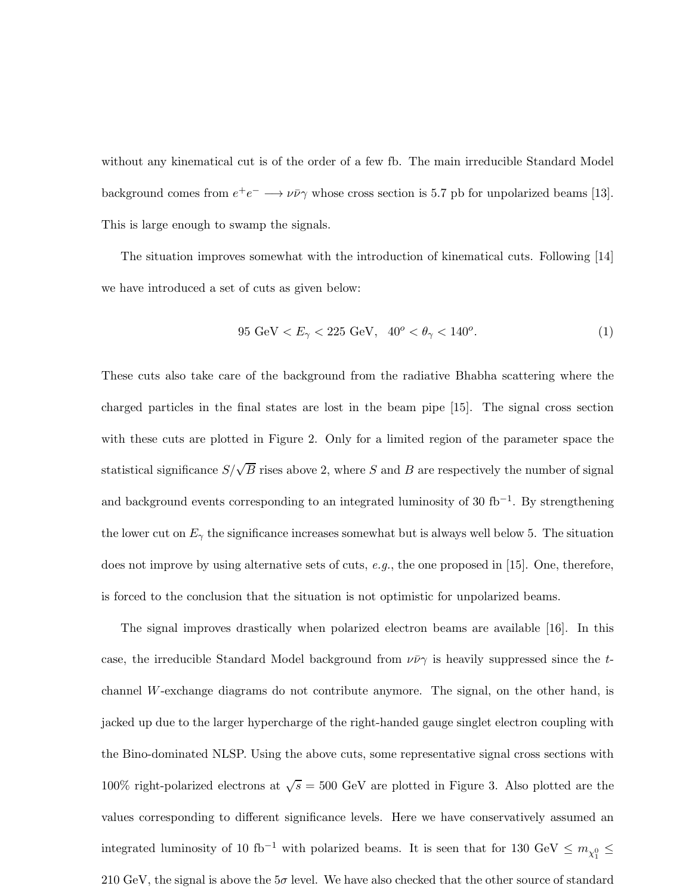without any kinematical cut is of the order of a few fb. The main irreducible Standard Model background comes from  $e^+e^- \longrightarrow \nu\bar{\nu}\gamma$  whose cross section is 5.7 pb for unpolarized beams [13]. This is large enough to swamp the signals.

The situation improves somewhat with the introduction of kinematical cuts. Following [14] we have introduced a set of cuts as given below:

$$
95 \text{ GeV} < E_{\gamma} < 225 \text{ GeV}, \quad 40^{\circ} < \theta_{\gamma} < 140^{\circ}. \tag{1}
$$

These cuts also take care of the background from the radiative Bhabha scattering where the charged particles in the final states are lost in the beam pipe [15]. The signal cross section with these cuts are plotted in Figure 2. Only for a limited region of the parameter space the statistical significance  $S/\sqrt{B}$  rises above 2, where S and B are respectively the number of signal and background events corresponding to an integrated luminosity of 30  $\text{fb}^{-1}$ . By strengthening the lower cut on  $E_{\gamma}$  the significance increases somewhat but is always well below 5. The situation does not improve by using alternative sets of cuts,  $e.g.,$  the one proposed in [15]. One, therefore, is forced to the conclusion that the situation is not optimistic for unpolarized beams.

The signal improves drastically when polarized electron beams are available [16]. In this case, the irreducible Standard Model background from  $\nu\bar{\nu}\gamma$  is heavily suppressed since the tchannel W-exchange diagrams do not contribute anymore. The signal, on the other hand, is jacked up due to the larger hypercharge of the right-handed gauge singlet electron coupling with the Bino-dominated NLSP. Using the above cuts, some representative signal cross sections with 100% right-polarized electrons at  $\sqrt{s} = 500$  GeV are plotted in Figure 3. Also plotted are the values corresponding to different significance levels. Here we have conservatively assumed an integrated luminosity of 10 fb<sup>-1</sup> with polarized beams. It is seen that for 130 GeV  $\leq m_{\chi_1^0} \leq$ 210 GeV, the signal is above the  $5\sigma$  level. We have also checked that the other source of standard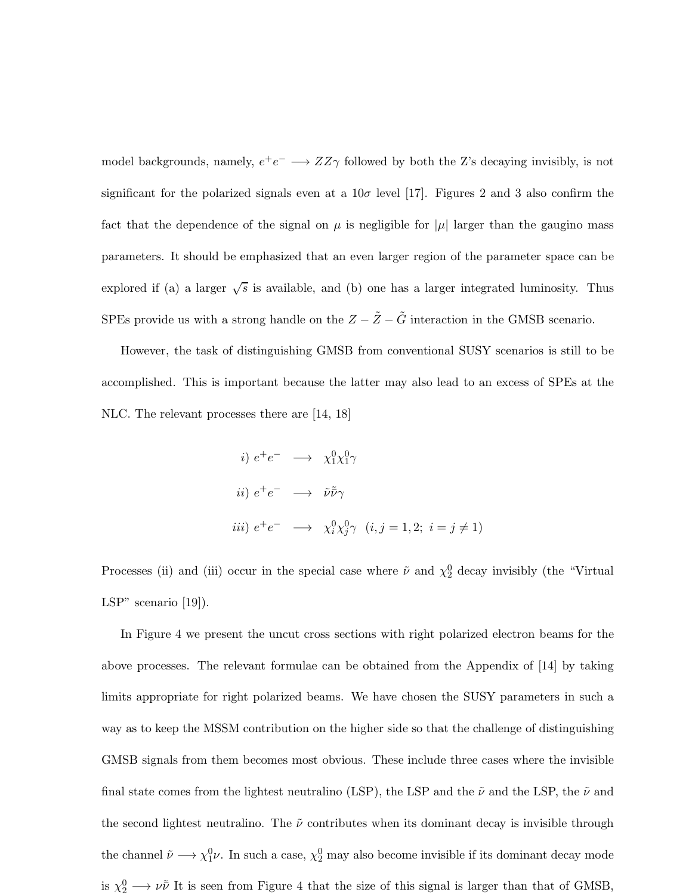model backgrounds, namely,  $e^+e^- \longrightarrow ZZ\gamma$  followed by both the Z's decaying invisibly, is not significant for the polarized signals even at a  $10\sigma$  level [17]. Figures 2 and 3 also confirm the fact that the dependence of the signal on  $\mu$  is negligible for  $|\mu|$  larger than the gaugino mass parameters. It should be emphasized that an even larger region of the parameter space can be explored if (a) a larger  $\sqrt{s}$  is available, and (b) one has a larger integrated luminosity. Thus SPEs provide us with a strong handle on the  $Z - \tilde{Z} - \tilde{G}$  interaction in the GMSB scenario.

However, the task of distinguishing GMSB from conventional SUSY scenarios is still to be accomplished. This is important because the latter may also lead to an excess of SPEs at the NLC. The relevant processes there are  $|14, 18|$ 

*i)* 
$$
e^+e^- \longrightarrow \chi_1^0 \chi_1^0 \gamma
$$
  
\n*ii)*  $e^+e^- \longrightarrow \tilde{\nu}\tilde{\nu}\gamma$   
\n*iii)*  $e^+e^- \longrightarrow \chi_i^0 \chi_j^0 \gamma$   $(i, j = 1, 2; i = j \neq 1)$ 

Processes (ii) and (iii) occur in the special case where  $\tilde{\nu}$  and  $\chi_2^0$  decay invisibly (the "Virtual LSP" scenario [19]).

In Figure 4 we present the uncut cross sections with right polarized electron beams for the above processes. The relevant formulae can be obtained from the Appendix of [14] by taking limits appropriate for right polarized beams. We have chosen the SUSY parameters in such a way as to keep the MSSM contribution on the higher side so that the challenge of distinguishing GMSB signals from them becomes most obvious. These include three cases where the invisible final state comes from the lightest neutralino (LSP), the LSP and the  $\tilde{\nu}$  and the LSP, the  $\tilde{\nu}$  and the second lightest neutralino. The  $\tilde{\nu}$  contributes when its dominant decay is invisible through the channel  $\tilde{\nu} \longrightarrow \chi_1^0 \nu$ . In such a case,  $\chi_2^0$  may also become invisible if its dominant decay mode is  $\chi_2^0 \longrightarrow \nu \tilde{\nu}$  It is seen from Figure 4 that the size of this signal is larger than that of GMSB,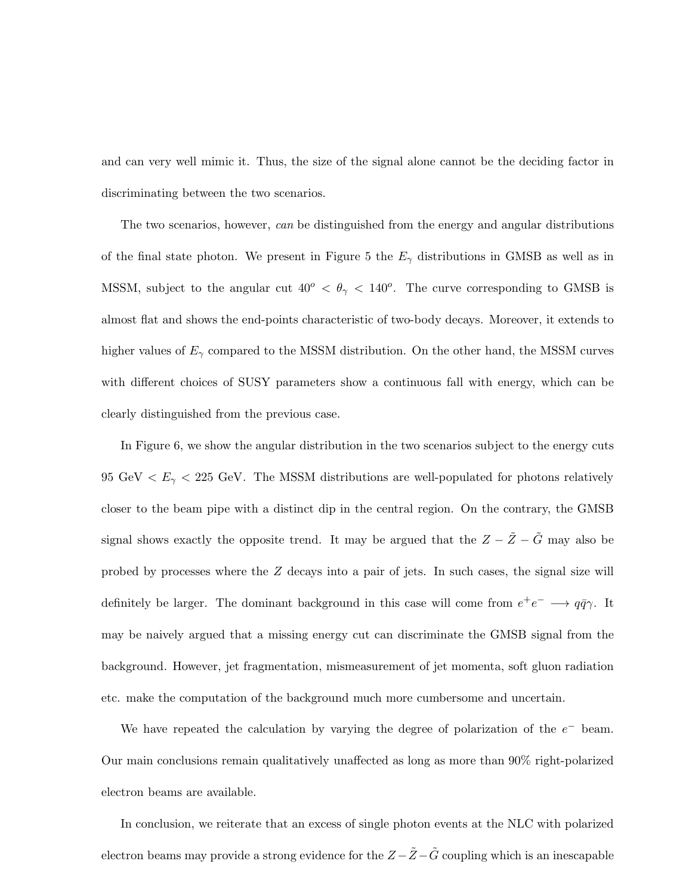and can very well mimic it. Thus, the size of the signal alone cannot be the deciding factor in discriminating between the two scenarios.

The two scenarios, however, can be distinguished from the energy and angular distributions of the final state photon. We present in Figure 5 the  $E_{\gamma}$  distributions in GMSB as well as in MSSM, subject to the angular cut  $40^{\circ} < \theta_{\gamma} < 140^{\circ}$ . The curve corresponding to GMSB is almost flat and shows the end-points characteristic of two-body decays. Moreover, it extends to higher values of  $E_{\gamma}$  compared to the MSSM distribution. On the other hand, the MSSM curves with different choices of SUSY parameters show a continuous fall with energy, which can be clearly distinguished from the previous case.

In Figure 6, we show the angular distribution in the two scenarios subject to the energy cuts 95 GeV  $\lt E_{\gamma}$   $\lt$  225 GeV. The MSSM distributions are well-populated for photons relatively closer to the beam pipe with a distinct dip in the central region. On the contrary, the GMSB signal shows exactly the opposite trend. It may be argued that the  $Z - \tilde{Z} - \tilde{G}$  may also be probed by processes where the Z decays into a pair of jets. In such cases, the signal size will definitely be larger. The dominant background in this case will come from  $e^+e^- \longrightarrow q\bar{q}\gamma$ . It may be naively argued that a missing energy cut can discriminate the GMSB signal from the background. However, jet fragmentation, mismeasurement of jet momenta, soft gluon radiation etc. make the computation of the background much more cumbersome and uncertain.

We have repeated the calculation by varying the degree of polarization of the  $e^-$  beam. Our main conclusions remain qualitatively unaffected as long as more than 90% right-polarized electron beams are available.

In conclusion, we reiterate that an excess of single photon events at the NLC with polarized electron beams may provide a strong evidence for the  $Z-\tilde{Z}-\tilde{G}$  coupling which is an inescapable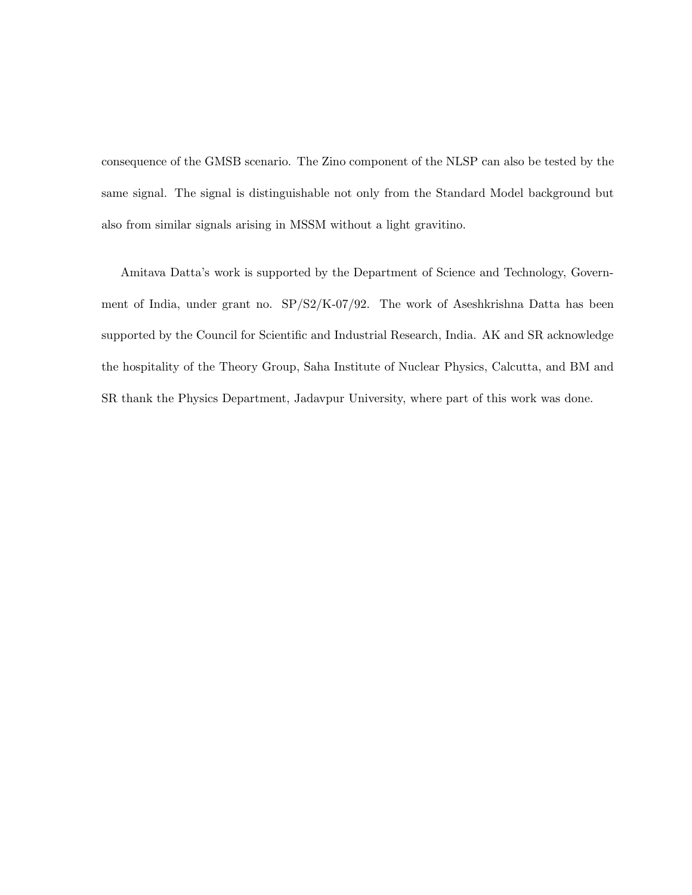consequence of the GMSB scenario. The Zino component of the NLSP can also be tested by the same signal. The signal is distinguishable not only from the Standard Model background but also from similar signals arising in MSSM without a light gravitino.

Amitava Datta's work is supported by the Department of Science and Technology, Government of India, under grant no. SP/S2/K-07/92. The work of Aseshkrishna Datta has been supported by the Council for Scientific and Industrial Research, India. AK and SR acknowledge the hospitality of the Theory Group, Saha Institute of Nuclear Physics, Calcutta, and BM and SR thank the Physics Department, Jadavpur University, where part of this work was done.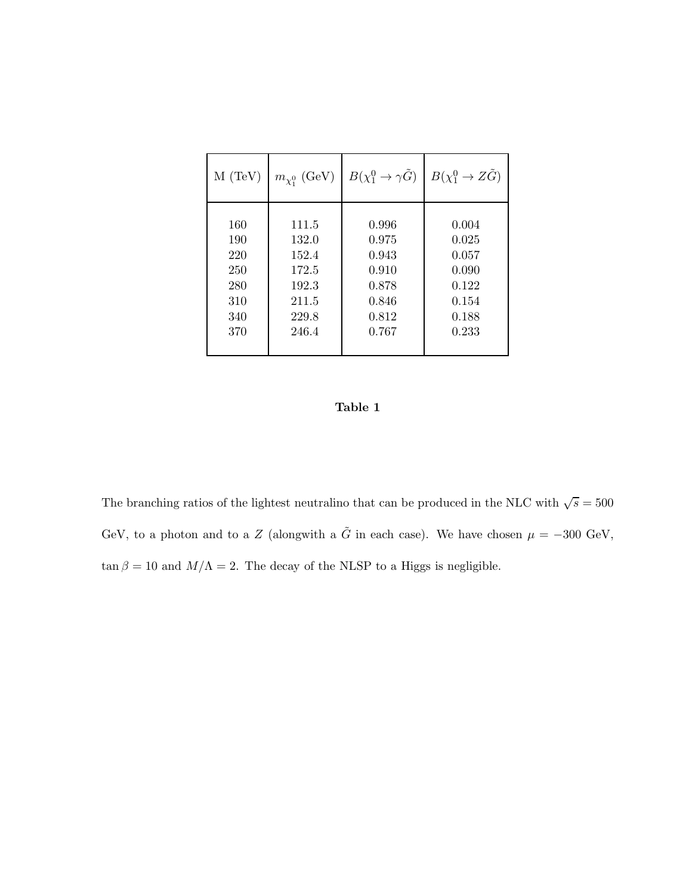| $M$ (TeV) | $m_{\chi_1^0}$ (GeV) | $B(\chi_1^0 \to \gamma \tilde{G})$ | $B(\chi_1^0 \to Z\tilde{G})$ |
|-----------|----------------------|------------------------------------|------------------------------|
| 160       | 111.5                | 0.996                              | 0.004                        |
| 190       | 132.0                | 0.975                              | 0.025                        |
| 220       | 152.4                | 0.943                              | 0.057                        |
| 250       | 172.5                | 0.910                              | 0.090                        |
| 280       | 192.3                | 0.878                              | 0.122                        |
| 310       | 211.5                | 0.846                              | 0.154                        |
| 340       | 229.8                | 0.812                              | 0.188                        |
| 370       | 246.4                | 0.767                              | 0.233                        |

### Table 1

The branching ratios of the lightest neutralino that can be produced in the NLC with  $\sqrt{s} = 500$ GeV, to a photon and to a Z (alongwith a  $\tilde{G}$  in each case). We have chosen  $\mu = -300 \text{ GeV}$ ,  $\tan\beta=10$  and  $M/\Lambda=2.$  The decay of the NLSP to a Higgs is negligible.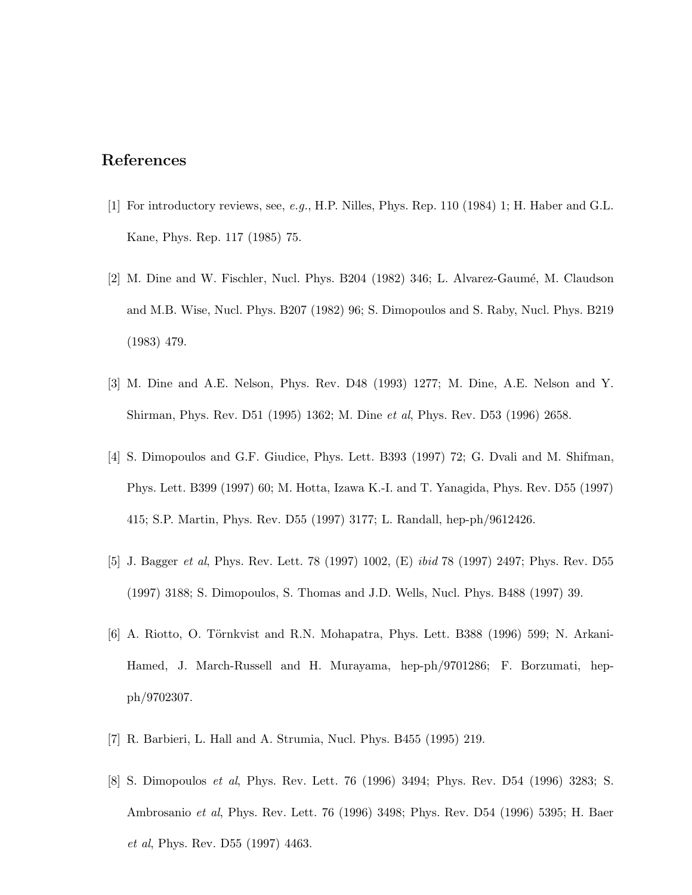# References

- [1] For introductory reviews, see, e.g., H.P. Nilles, Phys. Rep. 110 (1984) 1; H. Haber and G.L. Kane, Phys. Rep. 117 (1985) 75.
- $[2]$  M. Dine and W. Fischler, Nucl. Phys. B204 (1982) 346; L. Alvarez-Gaumé, M. Claudson and M.B. Wise, Nucl. Phys. B207 (1982) 96; S. Dimopoulos and S. Raby, Nucl. Phys. B219 (1983) 479.
- [3] M. Dine and A.E. Nelson, Phys. Rev. D48 (1993) 1277; M. Dine, A.E. Nelson and Y. Shirman, Phys. Rev. D51 (1995) 1362; M. Dine et al, Phys. Rev. D53 (1996) 2658.
- [4] S. Dimopoulos and G.F. Giudice, Phys. Lett. B393 (1997) 72; G. Dvali and M. Shifman, Phys. Lett. B399 (1997) 60; M. Hotta, Izawa K.-I. and T. Yanagida, Phys. Rev. D55 (1997) 415; S.P. Martin, Phys. Rev. D55 (1997) 3177; L. Randall, hep-ph/9612426.
- [5] J. Bagger *et al*, Phys. Rev. Lett. 78 (1997) 1002, (E) *ibid* 78 (1997) 2497; Phys. Rev. D55 (1997) 3188; S. Dimopoulos, S. Thomas and J.D. Wells, Nucl. Phys. B488 (1997) 39.
- $[6]$  A. Riotto, O. Törnkvist and R.N. Mohapatra, Phys. Lett. B388 (1996) 599; N. Arkani-Hamed, J. March-Russell and H. Murayama, hep-ph/9701286; F. Borzumati, hepph/9702307.
- [7] R. Barbieri, L. Hall and A. Strumia, Nucl. Phys. B455 (1995) 219.
- [8] S. Dimopoulos et al, Phys. Rev. Lett. 76 (1996) 3494; Phys. Rev. D54 (1996) 3283; S. Ambrosanio et al, Phys. Rev. Lett. 76 (1996) 3498; Phys. Rev. D54 (1996) 5395; H. Baer et al, Phys. Rev. D55 (1997) 4463.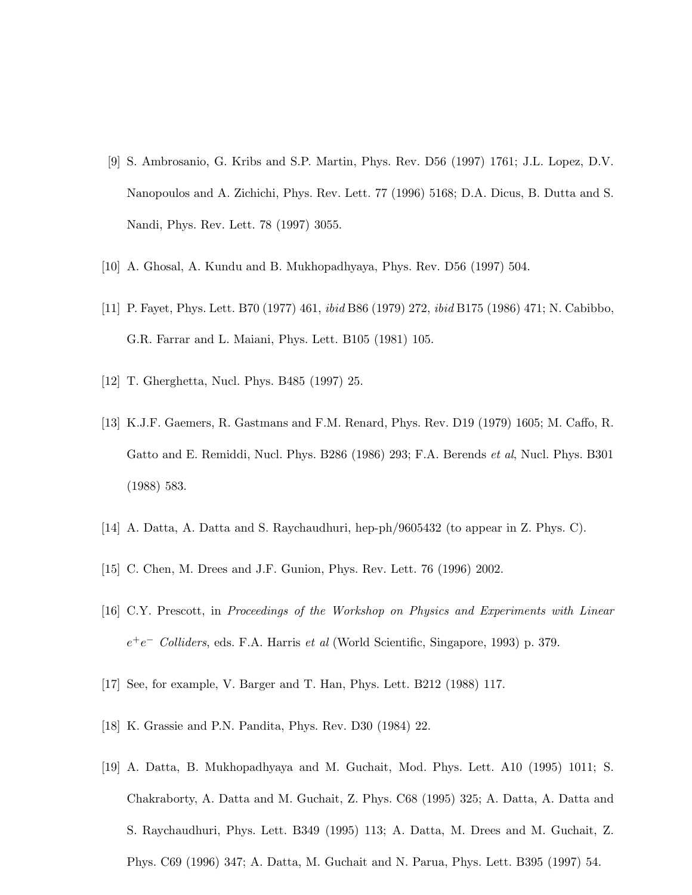- [9] S. Ambrosanio, G. Kribs and S.P. Martin, Phys. Rev. D56 (1997) 1761; J.L. Lopez, D.V. Nanopoulos and A. Zichichi, Phys. Rev. Lett. 77 (1996) 5168; D.A. Dicus, B. Dutta and S. Nandi, Phys. Rev. Lett. 78 (1997) 3055.
- [10] A. Ghosal, A. Kundu and B. Mukhopadhyaya, Phys. Rev. D56 (1997) 504.
- [11] P. Fayet, Phys. Lett. B70 (1977) 461, ibid B86 (1979) 272, ibid B175 (1986) 471; N. Cabibbo, G.R. Farrar and L. Maiani, Phys. Lett. B105 (1981) 105.
- [12] T. Gherghetta, Nucl. Phys. B485 (1997) 25.
- [13] K.J.F. Gaemers, R. Gastmans and F.M. Renard, Phys. Rev. D19 (1979) 1605; M. Caffo, R. Gatto and E. Remiddi, Nucl. Phys. B286 (1986) 293; F.A. Berends *et al*, Nucl. Phys. B301 (1988) 583.
- [14] A. Datta, A. Datta and S. Raychaudhuri, hep-ph/9605432 (to appear in Z. Phys. C).
- [15] C. Chen, M. Drees and J.F. Gunion, Phys. Rev. Lett. 76 (1996) 2002.
- [16] C.Y. Prescott, in Proceedings of the Workshop on Physics and Experiments with Linear  $e^+e^-$  Colliders, eds. F.A. Harris et al (World Scientific, Singapore, 1993) p. 379.
- [17] See, for example, V. Barger and T. Han, Phys. Lett. B212 (1988) 117.
- [18] K. Grassie and P.N. Pandita, Phys. Rev. D30 (1984) 22.
- [19] A. Datta, B. Mukhopadhyaya and M. Guchait, Mod. Phys. Lett. A10 (1995) 1011; S. Chakraborty, A. Datta and M. Guchait, Z. Phys. C68 (1995) 325; A. Datta, A. Datta and S. Raychaudhuri, Phys. Lett. B349 (1995) 113; A. Datta, M. Drees and M. Guchait, Z. Phys. C69 (1996) 347; A. Datta, M. Guchait and N. Parua, Phys. Lett. B395 (1997) 54.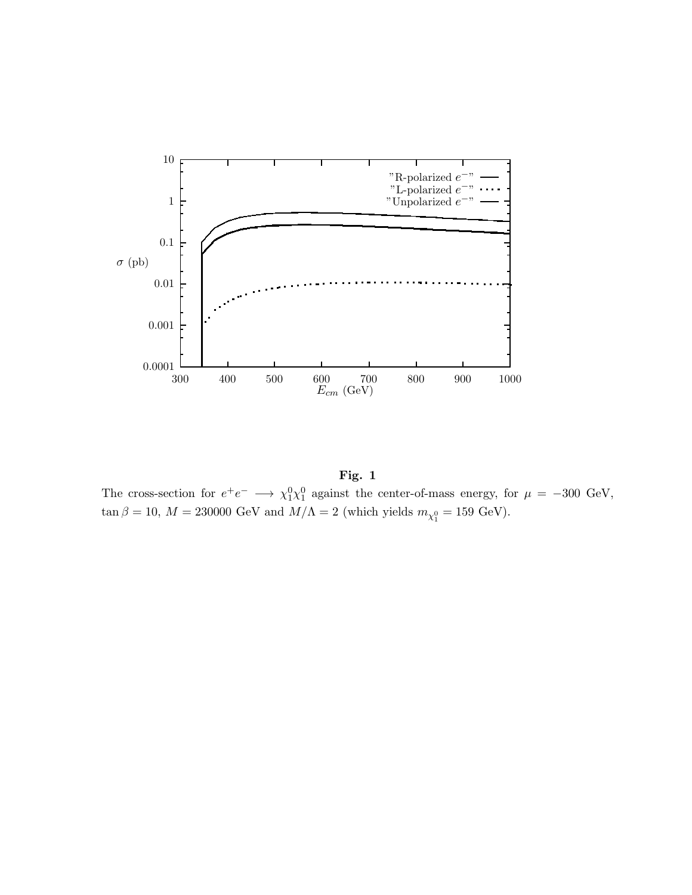

Fig. 1 The cross-section for  $e^+e^- \longrightarrow \chi_1^0 \chi_1^0$  against the center-of-mass energy, for  $\mu = -300 \text{ GeV}$ ,  $\tan \beta = 10, M = 230000 \text{ GeV}$  and  $M/\Lambda = 2$  (which yields  $m_{\chi_1^0} = 159 \text{ GeV}$ ).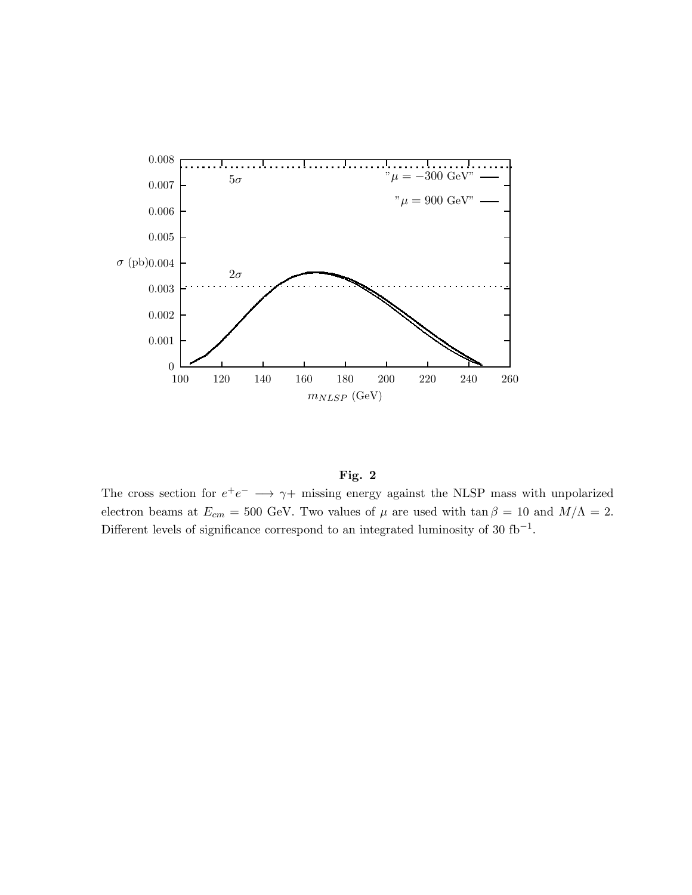



The cross section for  $e^+e^- \longrightarrow \gamma +$  missing energy against the NLSP mass with unpolarized electron beams at  $E_{cm} = 500$  GeV. Two values of  $\mu$  are used with tan  $\beta = 10$  and  $M/\Lambda = 2$ . Different levels of significance correspond to an integrated luminosity of 30  $fb^{-1}$ .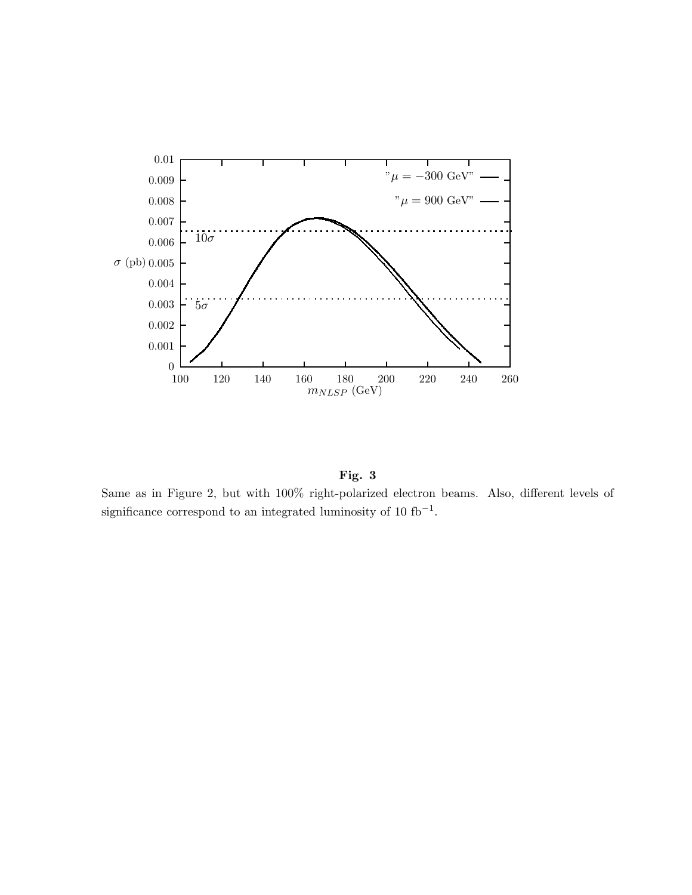

Fig. 3

Same as in Figure 2, but with 100% right-polarized electron beams. Also, different levels of significance correspond to an integrated luminosity of  $10 \text{ fb}^{-1}$ .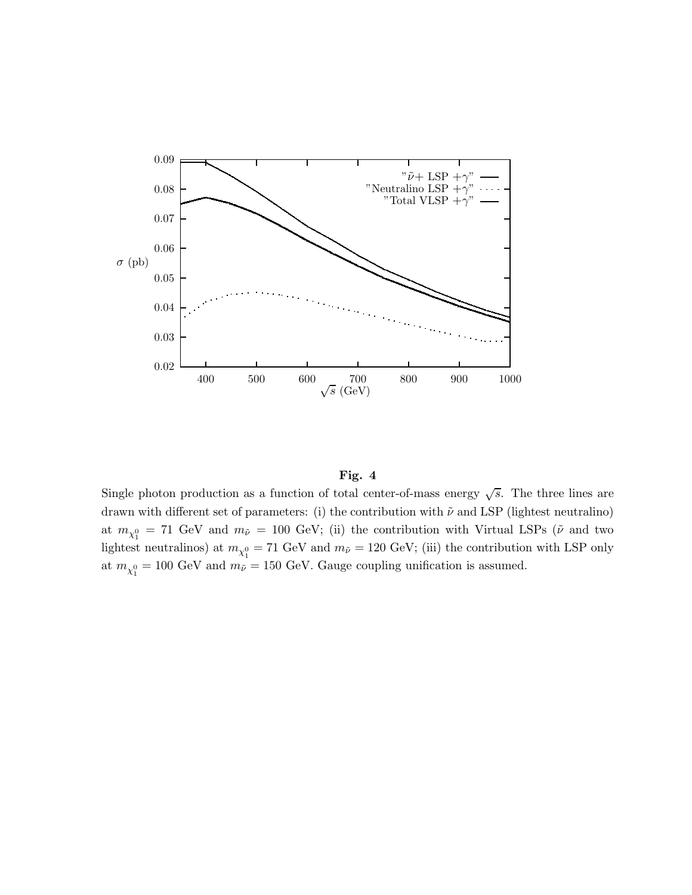

### Fig. 4

Single photon production as a function of total center-of-mass energy  $\sqrt{s}$ . The three lines are drawn with different set of parameters: (i) the contribution with  $\tilde{\nu}$  and LSP (lightest neutralino) at  $m_{\chi_1^0}$  = 71 GeV and  $m_{\tilde{\nu}}$  = 100 GeV; (ii) the contribution with Virtual LSPs ( $\tilde{\nu}$  and two lightest neutralinos) at  $m_{\chi_1^0} = 71 \text{ GeV}$  and  $m_{\tilde{\nu}} = 120 \text{ GeV}$ ; (iii) the contribution with LSP only at  $m_{\chi_1^0} = 100 \text{ GeV}$  and  $m_{\tilde{\nu}} = 150 \text{ GeV}$ . Gauge coupling unification is assumed.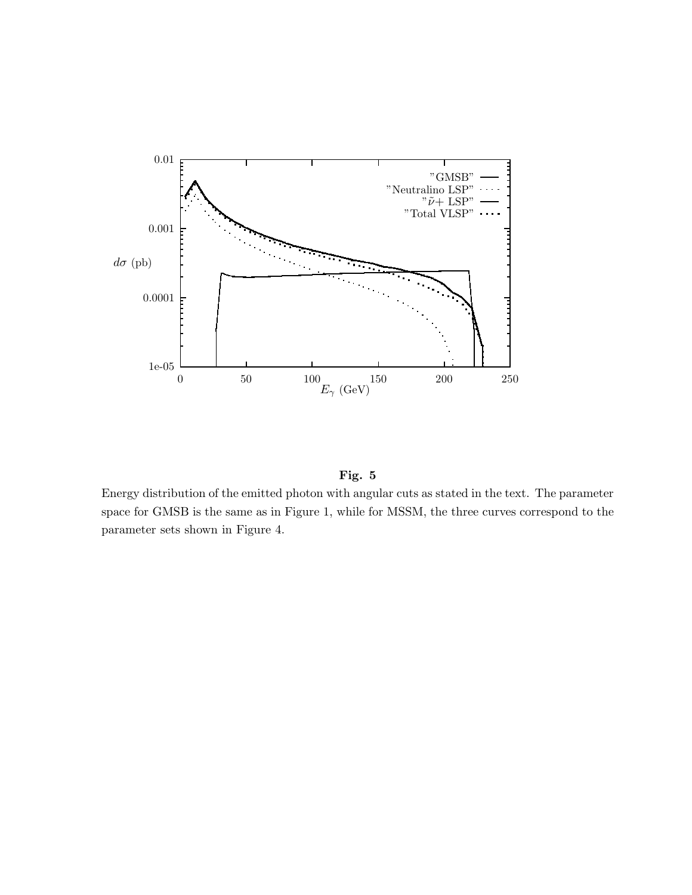

Fig. 5

Energy distribution of the emitted photon with angular cuts as stated in the text. The parameter space for GMSB is the same as in Figure 1, while for MSSM, the three curves correspond to the parameter sets shown in Figure 4.